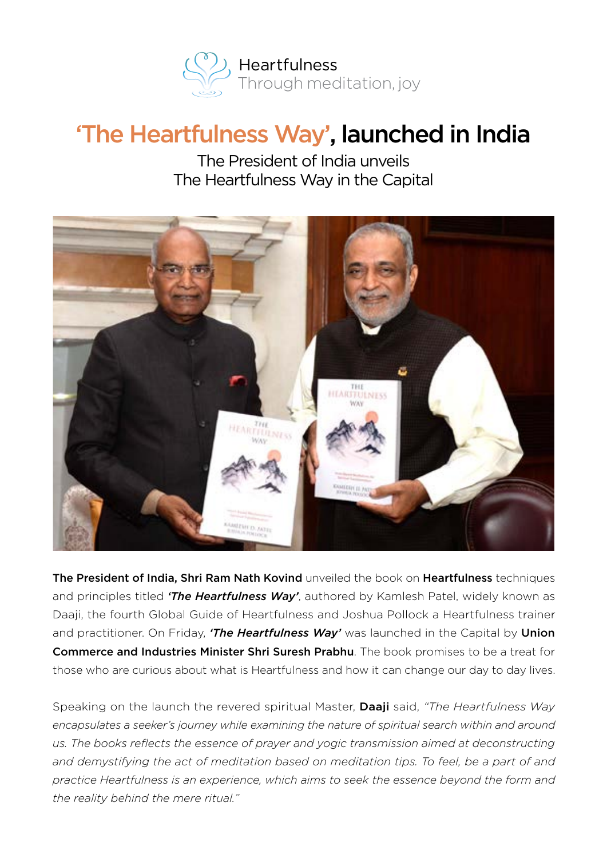

## 'The Heartfulness Way', launched in India

The President of India unveils The Heartfulness Way in the Capital



The President of India, Shri Ram Nath Kovind unveiled the book on Heartfulness techniques and principles titled *'The Heartfulness Way'*, authored by Kamlesh Patel, widely known as Daaji, the fourth Global Guide of Heartfulness and Joshua Pollock a Heartfulness trainer and practitioner. On Friday, *'The Heartfulness Way'* was launched in the Capital by Union Commerce and Industries Minister Shri Suresh Prabhu. The book promises to be a treat for those who are curious about what is Heartfulness and how it can change our day to day lives.

Speaking on the launch the revered spiritual Master, Daaji said, *"The Heartfulness Way*  encapsulates a seeker's journey while examining the nature of spiritual search within and around *us. The books reflects the essence of prayer and yogic transmission aimed at deconstructing*  and demystifying the act of meditation based on meditation tips. To feel, be a part of and *practice Heartfulness is an experience, which aims to seek the essence beyond the form and the reality behind the mere ritual."*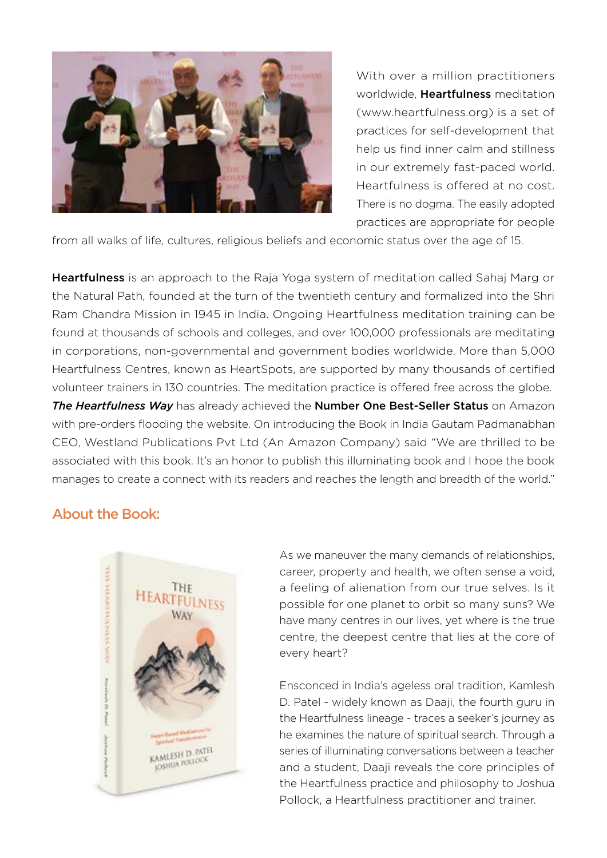

With over a million practitioners worldwide. **Heartfulness** meditation (www.heartfulness.org) is a set of practices for self-development that help us find inner calm and stillness in our extremely fast-paced world. Heartfulness is offered at no cost. There is no dogma. The easily adopted practices are appropriate for people

from all walks of life, cultures, religious beliefs and economic status over the age of 15.

Heartfulness is an approach to the Raja Yoga system of meditation called Sahaj Marg or the Natural Path, founded at the turn of the twentieth century and formalized into the Shri Ram Chandra Mission in 1945 in India. Ongoing Heartfulness meditation training can be found at thousands of schools and colleges, and over 100,000 professionals are meditating in corporations, non-governmental and government bodies worldwide. More than 5,000 Heartfulness Centres, known as HeartSpots, are supported by many thousands of certified volunteer trainers in 130 countries. The meditation practice is offered free across the globe. *The Heartfulness Way* has already achieved the Number One Best-Seller Status on Amazon with pre-orders flooding the website. On introducing the Book in India Gautam Padmanabhan CEO, Westland Publications Pvt Ltd (An Amazon Company) said "We are thrilled to be associated with this book. It's an honor to publish this illuminating book and I hope the book manages to create a connect with its readers and reaches the length and breadth of the world."

## About the Book:



As we maneuver the many demands of relationships, career, property and health, we often sense a void, a feeling of alienation from our true selves. Is it possible for one planet to orbit so many suns? We have many centres in our lives, yet where is the true centre, the deepest centre that lies at the core of every heart?

Ensconced in India's ageless oral tradition, Kamlesh D. Patel - widely known as Daaji, the fourth guru in the Heartfulness lineage - traces a seeker's journey as he examines the nature of spiritual search. Through a series of illuminating conversations between a teacher and a student, Daaji reveals the core principles of the Heartfulness practice and philosophy to Joshua Pollock, a Heartfulness practitioner and trainer.